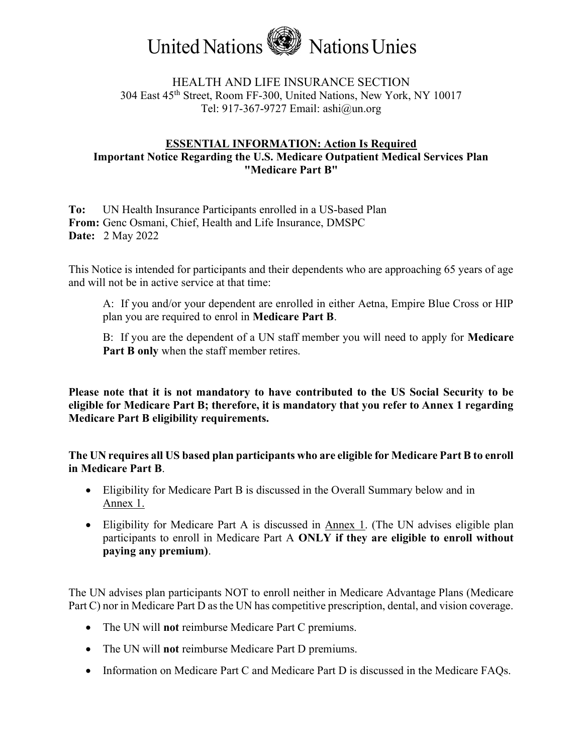

# HEALTH AND LIFE INSURANCE SECTION 304 East 45th Street, Room FF-300, United Nations, New York, NY 10017 Tel: 917-367-9727 Email: ashi@un.org

# ESSENTIAL INFORMATION: Action Is Required Important Notice Regarding the U.S. Medicare Outpatient Medical Services Plan "Medicare Part B"

To: UN Health Insurance Participants enrolled in a US-based Plan From: Genc Osmani, Chief, Health and Life Insurance, DMSPC Date: 2 May 2022

This Notice is intended for participants and their dependents who are approaching 65 years of age and will not be in active service at that time:

A: If you and/or your dependent are enrolled in either Aetna, Empire Blue Cross or HIP plan you are required to enrol in Medicare Part B.

B: If you are the dependent of a UN staff member you will need to apply for **Medicare** Part B only when the staff member retires.

Please note that it is not mandatory to have contributed to the US Social Security to be eligible for Medicare Part B; therefore, it is mandatory that you refer to Annex 1 regarding Medicare Part B eligibility requirements.

The UN requires all US based plan participants who are eligible for Medicare Part B to enroll in Medicare Part B.

- Eligibility for Medicare Part B is discussed in the Overall Summary below and in Annex 1.
- Eligibility for Medicare Part A is discussed in Annex 1. (The UN advises eligible plan participants to enroll in Medicare Part A ONLY if they are eligible to enroll without paying any premium).

The UN advises plan participants NOT to enroll neither in Medicare Advantage Plans (Medicare Part C) nor in Medicare Part D as the UN has competitive prescription, dental, and vision coverage.

- The UN will not reimburse Medicare Part C premiums.
- The UN will not reimburse Medicare Part D premiums.
- Information on Medicare Part C and Medicare Part D is discussed in the Medicare FAQs.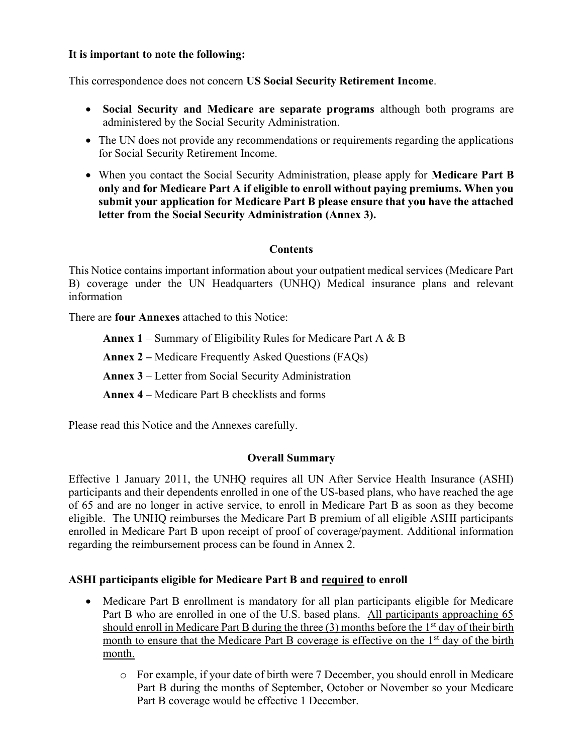### It is important to note the following:

This correspondence does not concern US Social Security Retirement Income.

- Social Security and Medicare are separate programs although both programs are administered by the Social Security Administration.
- The UN does not provide any recommendations or requirements regarding the applications for Social Security Retirement Income.
- When you contact the Social Security Administration, please apply for **Medicare Part B** only and for Medicare Part A if eligible to enroll without paying premiums. When you submit your application for Medicare Part B please ensure that you have the attached letter from the Social Security Administration (Annex 3).

### **Contents**

This Notice contains important information about your outpatient medical services (Medicare Part B) coverage under the UN Headquarters (UNHQ) Medical insurance plans and relevant information

There are four Annexes attached to this Notice:

**Annex 1** – Summary of Eligibility Rules for Medicare Part A  $\&$  B

Annex 2 – Medicare Frequently Asked Questions (FAQs)

Annex 3 – Letter from Social Security Administration

Annex 4 – Medicare Part B checklists and forms

Please read this Notice and the Annexes carefully.

## Overall Summary

Effective 1 January 2011, the UNHQ requires all UN After Service Health Insurance (ASHI) participants and their dependents enrolled in one of the US-based plans, who have reached the age of 65 and are no longer in active service, to enroll in Medicare Part B as soon as they become eligible. The UNHQ reimburses the Medicare Part B premium of all eligible ASHI participants enrolled in Medicare Part B upon receipt of proof of coverage/payment. Additional information regarding the reimbursement process can be found in Annex 2.

## ASHI participants eligible for Medicare Part B and required to enroll

- Medicare Part B enrollment is mandatory for all plan participants eligible for Medicare Part B who are enrolled in one of the U.S. based plans. All participants approaching 65 should enroll in Medicare Part B during the three  $(3)$  months before the  $1<sup>st</sup>$  day of their birth month to ensure that the Medicare Part B coverage is effective on the 1<sup>st</sup> day of the birth month.
	- o For example, if your date of birth were 7 December, you should enroll in Medicare Part B during the months of September, October or November so your Medicare Part B coverage would be effective 1 December.